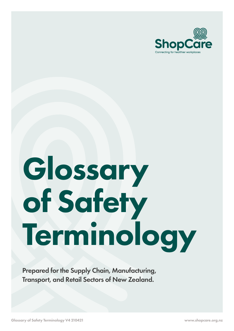

# Glossary of Safety Terminology

Prepared for the Supply Chain, Manufacturing, Transport, and Retail Sectors of New Zealand.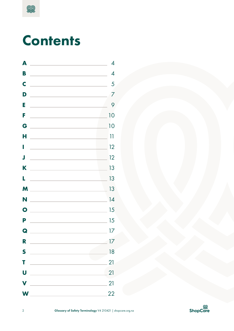

## **Contents**

| A         | 4                        |
|-----------|--------------------------|
| B         | $\overline{\mathcal{A}}$ |
| C         | 5                        |
| D         | 7                        |
| Е         | 9                        |
| F         | 10                       |
| G         | 10                       |
| н         | 11                       |
| I         | 12                       |
| J         | 12                       |
| K         | 13                       |
| L         | 13                       |
| M         | 13                       |
| N         | 14                       |
| $\bullet$ | 15                       |
| P         | 15                       |
| Q         | 17                       |
| R         | 17                       |
| S         | 18                       |
| T         | 21                       |
| U         | 21                       |
| V         | 21                       |
| W         | 22                       |

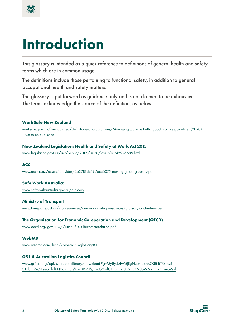

## Introduction

This glossary is intended as a quick reference to definitions of general health and safety terms which are in common usage.

The definitions include those pertaining to functional safety, in addition to general occupational health and safety matters.

The glossary is put forward as guidance only and is not claimed to be exhaustive. The terms acknowledge the source of the definition, as below:

#### **WorkSafe New Zealand**

worksafe.govt.nz/the-toolshed/definitions-and-acronyms/Managing worksite traffic good practise guidelines (2020) – yet to be published

#### **New Zealand Legislation: Health and Safety at Work Act 2015**

www.legislation.govt.nz/act/public/2015/0070/latest/DLM5976685.html

#### **ACC**

www.acc.co.nz/assets/provider/2b3781de19/acc6075-moving-guide-glossary.pdf

#### **Safe Work Australia:**

www.safeworkaustralia.gov.au/glossary

#### **Ministry of Transport**

www.transport.govt.nz/mot-resources/new-road-safety-resources/glossary-and-references

#### **The Organisation for Economic Co-operation and Development (OECD)**

www.oecd.org/gov/risk/Critical-Risks-Recommendation.pdf

#### **WebMD**

www.webmd.com/lung/coronavirus-glossary#1

#### **GS1 & Australian Logistics Council**

www.gs1au.org/api/sharepointlibrary/download ?g=My8y,LzIwMjEgNzoxNjow,OSB BTXxnczFhd S1nbG9zc2FyeS1hdXN0cmFsa WFuLXRyYW,5zcG9ydC1hbmQtbG9naXN0aWNzLnBkZnxmaWxl

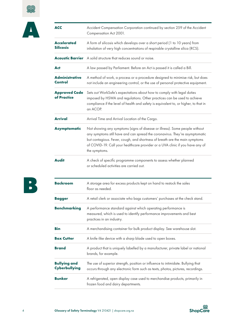<span id="page-3-0"></span>

| <b>ACC</b>                              | Accident Compensation Corporation continued by section 259 of the Accident<br>Compensation Act 2001.                                                                                                                                                                                                                                         |
|-----------------------------------------|----------------------------------------------------------------------------------------------------------------------------------------------------------------------------------------------------------------------------------------------------------------------------------------------------------------------------------------------|
| <b>Accelerated</b><br><b>Silicosis</b>  | A form of silicosis which develops over a short period (1 to 10 years) from<br>inhalation of very high concentrations of respirable crystalline silica (RCS).                                                                                                                                                                                |
|                                         | <b>Acoustic Barrier</b> A solid structure that reduces sound or noise.                                                                                                                                                                                                                                                                       |
| Act                                     | A law passed by Parliament. Before an Act is passed it is called a Bill.                                                                                                                                                                                                                                                                     |
| <b>Administrative</b><br><b>Control</b> | A method of work, a process or a procedure designed to minimise risk, but does<br>not include an engineering control, or the use of personal protective equipment.                                                                                                                                                                           |
| <b>Approved Code</b><br>of Practice     | Sets out WorkSafe's expectations about how to comply with legal duties<br>imposed by HSWA and regulations. Other practices can be used to achieve<br>compliance if the level of health and safety is equivalent to, or higher, to that in<br>an ACOP.                                                                                        |
| <b>Arrival</b>                          | Arrival Time and Arrival Location of the Cargo.                                                                                                                                                                                                                                                                                              |
| <b>Asymptomatic</b>                     | Not showing any symptoms (signs of disease or illness). Some people without<br>any symptoms still have and can spread the coronavirus. They're asymptomatic<br>but contagious. Fever, cough, and shortness of breath are the main symptoms<br>of COVID-19. Call your healthcare provider or a UVA clinic if you have any of<br>the symptoms. |
| <b>Audit</b>                            | A check of specific programme components to assess whether planned<br>or scheduled activities are carried out.                                                                                                                                                                                                                               |
| <b>Backroom</b>                         | A storage area for excess products kept on hand to restock the sales<br>floor as needed.                                                                                                                                                                                                                                                     |
| <b>Bagger</b>                           | A retail clerk or associate who bags customers' purchases at the check stand.                                                                                                                                                                                                                                                                |
| <b>Benchmarking</b>                     | A performance standard against which operating performance is<br>measured, which is used to identify performance improvements and best<br>practices in an industry.                                                                                                                                                                          |
| <b>Bin</b>                              | A merchandising container for bulk product display. See warehouse slot.                                                                                                                                                                                                                                                                      |
| <b>Box Cutter</b>                       | A knife-like device with a sharp blade used to open boxes.                                                                                                                                                                                                                                                                                   |
| <b>Brand</b>                            | A product that is uniquely labelled by a manufacturer, private label or national<br>brands, for example.                                                                                                                                                                                                                                     |
| <b>Bullying and</b><br>Cyberbullying    | The use of superior strength, position or influence to intimidate. Bullying that<br>occurs through any electronic form such as texts, photos, pictures, recordings.                                                                                                                                                                          |
| <b>Bunker</b>                           | A refrigerated, open display case used to merchandise products, primarily in<br>frozen food and dairy departments.                                                                                                                                                                                                                           |
|                                         |                                                                                                                                                                                                                                                                                                                                              |



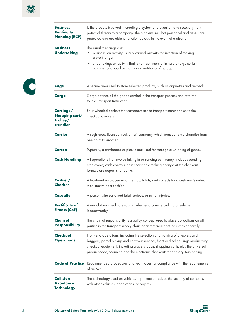**C**

<span id="page-4-0"></span>

| <b>Business</b><br>Is the process involved in creating a system of prevention and recovery from<br><b>Continuity</b><br>potential threats to a company. The plan ensures that personnel and assets are<br><b>Planning (BCP)</b><br>protected and are able to function quickly in the event of a disaster.                                                                 |                                                                                                                                                                                                                                                                             |  |
|---------------------------------------------------------------------------------------------------------------------------------------------------------------------------------------------------------------------------------------------------------------------------------------------------------------------------------------------------------------------------|-----------------------------------------------------------------------------------------------------------------------------------------------------------------------------------------------------------------------------------------------------------------------------|--|
| <b>Business</b><br><b>Undertaking</b>                                                                                                                                                                                                                                                                                                                                     | The usual meanings are:<br>business: an activity usually carried out with the intention of making<br>٠<br>a profit or gain.<br>undertaking: an activity that is non-commercial in nature (e.g., certain<br>٠<br>activities of a local authority or a not-for-profit group). |  |
| <b>Cage</b>                                                                                                                                                                                                                                                                                                                                                               | A secure area used to store selected products, such as cigarettes and aerosols.                                                                                                                                                                                             |  |
| <b>Cargo</b>                                                                                                                                                                                                                                                                                                                                                              | Cargo defines all the goods carried in the transport process and referred<br>to in a Transport Instruction.                                                                                                                                                                 |  |
| Carriage/<br>Four-wheeled baskets that customers use to transport merchandise to the<br>Shopping cart/<br>checkout counters.<br>Trolley/<br><b>Trundler</b>                                                                                                                                                                                                               |                                                                                                                                                                                                                                                                             |  |
| <b>Carrier</b>                                                                                                                                                                                                                                                                                                                                                            | A registered, licensed truck or rail company, which transports merchandise from<br>one point to another.                                                                                                                                                                    |  |
| Carton                                                                                                                                                                                                                                                                                                                                                                    | Typically, a cardboard or plastic box used for storage or shipping of goods.                                                                                                                                                                                                |  |
| <b>Cash Handling</b><br>All operations that involve taking in or sending out money. Includes bonding<br>employees; cash controls; coin shortages; making change at the checkout;<br>forms; store deposits for banks.                                                                                                                                                      |                                                                                                                                                                                                                                                                             |  |
| Cashier/<br>Checker                                                                                                                                                                                                                                                                                                                                                       | A front-end employee who rings up, totals, and collects for a customer's order.<br>Also known as a cashier.                                                                                                                                                                 |  |
| Casualty                                                                                                                                                                                                                                                                                                                                                                  | A person who sustained fatal, serious, or minor injuries.                                                                                                                                                                                                                   |  |
| <b>Certificate of</b><br><b>Fitness (CoF)</b>                                                                                                                                                                                                                                                                                                                             | A mandatory check to establish whether a commercial motor vehicle<br>is roadworthy.                                                                                                                                                                                         |  |
| <b>Chain of</b><br>The chain of responsibility is a policy concept used to place obligations on all<br><b>Responsibility</b><br>parties in the transport supply chain or across transport industries generally.                                                                                                                                                           |                                                                                                                                                                                                                                                                             |  |
| <b>Checkout</b><br>Front-end operations, including the selection and training of checkers and<br><b>Operations</b><br>baggers; parcel pickup and carryout services; front end scheduling; productivity;<br>checkout equipment, including grocery bags, shopping carts, etc.; the universal<br>product code, scanning and the electronic checkout; mandatory item pricing. |                                                                                                                                                                                                                                                                             |  |
|                                                                                                                                                                                                                                                                                                                                                                           | Code of Practice Recommended procedures and techniques for compliance with the requirements<br>of an Act.                                                                                                                                                                   |  |
| <b>Collision</b><br>Avoidance<br><b>Technology</b>                                                                                                                                                                                                                                                                                                                        | The technology used on vehicles to prevent or reduce the severity of collisions<br>with other vehicles, pedestrians, or objects.                                                                                                                                            |  |

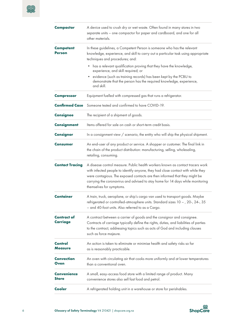

| <b>Compactor</b>                                                                                                                         | A device used to crush dry or wet waste. Often found in many stores in two<br>separate units - one compactor for paper and cardboard, and one for all<br>other materials.                                                                                                                                                                                     |  |  |
|------------------------------------------------------------------------------------------------------------------------------------------|---------------------------------------------------------------------------------------------------------------------------------------------------------------------------------------------------------------------------------------------------------------------------------------------------------------------------------------------------------------|--|--|
| <b>Competent</b><br><b>Person</b>                                                                                                        | In these guidelines, a Competent Person is someone who has the relevant<br>knowledge, experience, and skill to carry out a particular task using appropriate<br>techniques and procedures; and:                                                                                                                                                               |  |  |
|                                                                                                                                          | has a relevant qualification proving that they have the knowledge,<br>٠<br>experience, and skill required; or                                                                                                                                                                                                                                                 |  |  |
|                                                                                                                                          | evidence (such as training records) has been kept by the PCBU to<br>demonstrate that the person has the required knowledge, experience,<br>and skill.                                                                                                                                                                                                         |  |  |
| <b>Compressor</b>                                                                                                                        | Equipment fuelled with compressed gas that runs a refrigerator.                                                                                                                                                                                                                                                                                               |  |  |
| <b>Confirmed Case</b>                                                                                                                    | Someone tested and confirmed to have COVID-19.                                                                                                                                                                                                                                                                                                                |  |  |
| <b>Consignee</b>                                                                                                                         | The recipient of a shipment of goods.                                                                                                                                                                                                                                                                                                                         |  |  |
| <b>Consignment</b>                                                                                                                       | Items offered for sale on cash or short-term credit basis.                                                                                                                                                                                                                                                                                                    |  |  |
| <b>Consignor</b>                                                                                                                         | In a consignment view $/$ scenario, the entity who will ship the physical shipment.                                                                                                                                                                                                                                                                           |  |  |
| <b>Consumer</b>                                                                                                                          | An end-user of any product or service. A shopper or customer. The final link in<br>the chain of the product distribution: manufacturing, selling, wholesaling,<br>retailing, consuming.                                                                                                                                                                       |  |  |
| <b>Contact Tracing</b>                                                                                                                   | A disease control measure. Public health workers known as contact tracers work<br>with infected people to identify anyone, they had close contact with while they<br>were contagious. The exposed contacts are then informed that they might be<br>carrying the coronavirus and advised to stay home for 14 days while monitoring<br>themselves for symptoms. |  |  |
| <b>Container</b>                                                                                                                         | A train, truck, aeroplane, or ship's cargo van used to transport goods. Maybe<br>refrigerated or controlled-atmosphere units. Standard sizes 10 - , 20-, 24-, 35<br>- and 40-foot units. Also referred to as a Cargo.                                                                                                                                         |  |  |
| <b>Contract of</b><br>Carriage                                                                                                           | A contract between a carrier of goods and the consignor and consignee.<br>Contracts of carriage typically define the rights, duties, and liabilities of parties<br>to the contract, addressing topics such as acts of God and including clauses<br>such as force majeure.                                                                                     |  |  |
| <b>Control</b><br>An action is taken to eliminate or minimise health and safety risks so far<br>Measure<br>as is reasonably practicable. |                                                                                                                                                                                                                                                                                                                                                               |  |  |
| <b>Convection</b><br>Oven                                                                                                                | An oven with circulating air that cooks more uniformly and at lower temperatures<br>than a conventional oven.                                                                                                                                                                                                                                                 |  |  |
| <b>Convenience</b><br><b>Store</b>                                                                                                       | A small, easy-access food store with a limited range of product. Many<br>convenience stores also sell fast food and petrol.                                                                                                                                                                                                                                   |  |  |
| Cooler                                                                                                                                   | A refrigerated holding unit in a warehouse or store for perishables.                                                                                                                                                                                                                                                                                          |  |  |

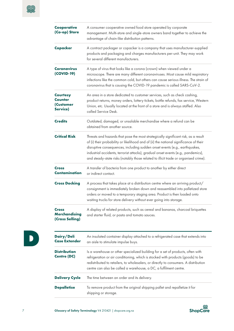<span id="page-6-0"></span>

| <b>Cooperative</b><br>(Co-op) Store                                                                                                                                                                                                                                                                                                                            | A consumer cooperative owned food store operated by corporate<br>management. Multi-store and single-store owners band together to achieve the<br>advantage of chain-like distribution patterns.                                                                                                                                                                                                                                       |  |
|----------------------------------------------------------------------------------------------------------------------------------------------------------------------------------------------------------------------------------------------------------------------------------------------------------------------------------------------------------------|---------------------------------------------------------------------------------------------------------------------------------------------------------------------------------------------------------------------------------------------------------------------------------------------------------------------------------------------------------------------------------------------------------------------------------------|--|
| Copacker                                                                                                                                                                                                                                                                                                                                                       | A contract packager or copacker is a company that uses manufacturer-supplied<br>products and packaging and charges manufacturers per-unit. They may work<br>for several different manufacturers.                                                                                                                                                                                                                                      |  |
| <b>Coronavirus</b><br>A type of virus that looks like a corona (crown) when viewed under a<br>(COVID-19)<br>microscope. There are many different coronaviruses. Most cause mild respiratory<br>infections like the common cold, but others can cause serious illness. The strain of<br>coronavirus that is causing the COVID-19 pandemic is called SARS-CoV-2. |                                                                                                                                                                                                                                                                                                                                                                                                                                       |  |
| An area in a store dedicated to customer services, such as check cashing,<br><b>Courtesy</b><br><b>Counter</b><br>product returns, money orders, lottery tickets, bottle refunds, fax service, Western<br>(Customer<br>Union, etc. Usually located at the front of a store and is always staffed. Also<br>Service)<br>called Service Desk.                     |                                                                                                                                                                                                                                                                                                                                                                                                                                       |  |
| <b>Credits</b>                                                                                                                                                                                                                                                                                                                                                 | Outdated, damaged, or unsalable merchandise where a refund can be<br>obtained from another source.                                                                                                                                                                                                                                                                                                                                    |  |
| <b>Critical Risk</b>                                                                                                                                                                                                                                                                                                                                           | Threats and hazards that pose the most strategically significant risk, as a result<br>of (i) their probability or likelihood and of (ii) the national significance of their<br>disruptive consequences, including sudden onset events (e.g., earthquakes,<br>industrial accidents, terrorist attacks), gradual onset events (e.g., pandemics),<br>and steady-state risks (notably those related to illicit trade or organised crime). |  |
| <b>Cross</b><br><b>Contamination</b>                                                                                                                                                                                                                                                                                                                           | A transfer of bacteria from one product to another by either direct<br>or indirect contact.                                                                                                                                                                                                                                                                                                                                           |  |
| <b>Cross Docking</b>                                                                                                                                                                                                                                                                                                                                           | A process that takes place at a distribution centre where an arriving product/<br>consignment is immediately broken down and reassembled into palletized store<br>orders or moved to a temporary staging area. Product is then loaded onto<br>waiting trucks for store delivery without ever going into storage.                                                                                                                      |  |
| <b>Cross</b><br><b>Merchandising</b><br>(Cross Selling)                                                                                                                                                                                                                                                                                                        | A display of related products, such as cereal and bananas, charcoal briquettes<br>and starter fluid, or pasta and tomato sauces.                                                                                                                                                                                                                                                                                                      |  |
| Dairy/Deli<br><b>Case Extender</b>                                                                                                                                                                                                                                                                                                                             | An insulated container display attached to a refrigerated case that extends into<br>an aisle to stimulate impulse buys.                                                                                                                                                                                                                                                                                                               |  |
| <b>Distribution</b><br><b>Centre (DC)</b>                                                                                                                                                                                                                                                                                                                      | Is a warehouse or other specialized building for a set of products, often with<br>refrigeration or air conditioning, which is stocked with products (goods) to be<br>redistributed to retailers, to wholesalers, or directly to consumers. A distribution<br>centre can also be called a warehouse, a DC, a fulfilment centre.                                                                                                        |  |

**D**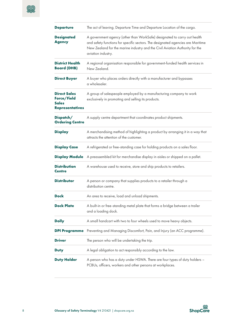| <b>Departure</b>                                                                                                                                                                                         | The act of leaving. Departure Time and Departure Location of the cargo.                                                                                                                                                                                           |  |
|----------------------------------------------------------------------------------------------------------------------------------------------------------------------------------------------------------|-------------------------------------------------------------------------------------------------------------------------------------------------------------------------------------------------------------------------------------------------------------------|--|
| <b>Designated</b><br><b>Agency</b>                                                                                                                                                                       | A government agency (other than WorkSafe) designated to carry out health<br>and safety functions for specific sectors. The designated agencies are Maritime<br>New Zealand for the marine industry and the Civil Aviation Authority for the<br>aviation industry. |  |
| <b>District Health</b><br>A regional organisation responsible for government-funded health services in<br><b>Board (DHB)</b><br>New Zealand.                                                             |                                                                                                                                                                                                                                                                   |  |
| <b>Direct Buyer</b>                                                                                                                                                                                      | A buyer who places orders directly with a manufacturer and bypasses<br>a wholesaler.                                                                                                                                                                              |  |
| <b>Direct Sales</b><br>A group of salespeople employed by a manufacturing company to work<br>Force/Field<br>exclusively in promoting and selling its products.<br><b>Sales</b><br><b>Representatives</b> |                                                                                                                                                                                                                                                                   |  |
| Dispatch/<br><b>Ordering Centre</b>                                                                                                                                                                      | A supply centre department that coordinates product shipments.                                                                                                                                                                                                    |  |
| <b>Display</b>                                                                                                                                                                                           | A merchandising method of highlighting a product by arranging it in a way that<br>attracts the attention of the customer.                                                                                                                                         |  |
| <b>Display Case</b>                                                                                                                                                                                      | A refrigerated or free-standing case for holding products on a sales floor.                                                                                                                                                                                       |  |
|                                                                                                                                                                                                          | Display Module A preassembled kit for merchandise display in aisles or shipped on a pallet.                                                                                                                                                                       |  |
| <b>Distribution</b><br><b>Centre</b>                                                                                                                                                                     | A warehouse used to receive, store and ship products to retailers.                                                                                                                                                                                                |  |
| <b>Distributor</b>                                                                                                                                                                                       | A person or company that supplies products to a retailer through a<br>distribution centre.                                                                                                                                                                        |  |
| Dock                                                                                                                                                                                                     | An area to receive, load and unload shipments.                                                                                                                                                                                                                    |  |
| <b>Dock Plate</b>                                                                                                                                                                                        | A built-in or free-standing metal plate that forms a bridge between a trailer<br>and a loading dock.                                                                                                                                                              |  |
| <b>Dolly</b>                                                                                                                                                                                             | A small handcart with two to four wheels used to move heavy objects.                                                                                                                                                                                              |  |
| <b>DPI Programme</b>                                                                                                                                                                                     | Preventing and Managing Discomfort, Pain, and Injury (an ACC programme).                                                                                                                                                                                          |  |
| <b>Driver</b>                                                                                                                                                                                            | The person who will be undertaking the trip.                                                                                                                                                                                                                      |  |
| <b>Duty</b>                                                                                                                                                                                              | A legal obligation to act responsibly according to the law.                                                                                                                                                                                                       |  |
| <b>Duty Holder</b><br>A person who has a duty under HSWA. There are four types of duty holders -<br>PCBUs, officers, workers and other persons at workplaces.                                            |                                                                                                                                                                                                                                                                   |  |

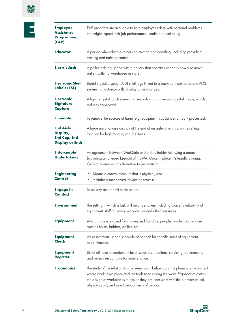<span id="page-8-0"></span>

| <b>Employee</b><br><b>Assistance</b><br><b>Programme</b><br>(EAP)                                                                                                   | EAP providers are available to help employees deal with personal problems<br>that might impact their job performance, health and wellbeing.                                                                                                                                                             |  |
|---------------------------------------------------------------------------------------------------------------------------------------------------------------------|---------------------------------------------------------------------------------------------------------------------------------------------------------------------------------------------------------------------------------------------------------------------------------------------------------|--|
| <b>Educator</b>                                                                                                                                                     | A person who educates others on moving and handling, including providing<br>training and training content.                                                                                                                                                                                              |  |
| <b>Electric Jack</b>                                                                                                                                                | A pallet jack, equipped with a battery that operates under its power to move<br>pallets within a warehouse or store.                                                                                                                                                                                    |  |
| <b>Electronic Shelf</b><br><b>Labels (ESL)</b>                                                                                                                      | Liquid crystal display (LCD) shelf tags linked to a backroom computer and POS<br>system that automatically display price changes.                                                                                                                                                                       |  |
| <b>Electronic</b><br><b>Signature</b><br><b>Capture</b>                                                                                                             | A liquid-crystal touch screen that records a signature as a digital image, which<br>reduces paperwork.                                                                                                                                                                                                  |  |
| <b>Eliminate</b><br>To remove the sources of harm (e.g. equipment, substances or work processes).                                                                   |                                                                                                                                                                                                                                                                                                         |  |
| <b>End Aisle</b><br>Display,<br><b>End Cap, End</b><br><b>Display or Ends</b>                                                                                       | A large merchandise display at the end of an aisle which is a prime selling<br>location for high margin, impulse items.                                                                                                                                                                                 |  |
| <b>Enforceable</b><br><b>Undertaking</b>                                                                                                                            | An agreement between WorkSafe and a duty holder following a breach<br>(including an alleged breach) of HSWA. Once in place, it's legally binding.<br>Generally used as an alternative to prosecution.                                                                                                   |  |
| <b>Engineering</b><br>Means a control measure that is physical; and<br><b>Control</b><br>Includes a mechanical device or process.<br>٠                              |                                                                                                                                                                                                                                                                                                         |  |
| <b>Engage In</b><br><b>Conduct</b>                                                                                                                                  | To do any act or omit to do an act.                                                                                                                                                                                                                                                                     |  |
| <b>Environment</b>                                                                                                                                                  | The setting in which a task will be undertaken, including space, availability of<br>equipment, staffing levels, work culture and other resources.                                                                                                                                                       |  |
| Aids and devices used for moving and handling people, product, or services<br><b>Equipment</b><br>such as hoists, ladders, dollies, etc.                            |                                                                                                                                                                                                                                                                                                         |  |
| <b>Equipment</b><br>An assessment list and schedule of periods for specific items of equipment<br>Check<br>to be checked.                                           |                                                                                                                                                                                                                                                                                                         |  |
| List of all items of equipment held, suppliers, locations, servicing requirements<br><b>Equipment</b><br><b>Register</b><br>and person responsible for maintenance. |                                                                                                                                                                                                                                                                                                         |  |
| <b>Ergonomics</b>                                                                                                                                                   | The study of the relationship between work behaviours, the physical environment<br>where work takes place and the tools used during the work. Ergonomics assists<br>the design of workplaces to ensure they are consistent with the biomechanical,<br>physiological, and psychosocial limits of people. |  |

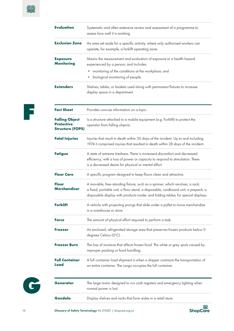<span id="page-9-0"></span>

| <b>Evaluation</b>                                                                                                                                                                       | Systematic and often extensive review and assessment of a programme to<br>assess how well it is working.                                                                                                                                                |  |
|-----------------------------------------------------------------------------------------------------------------------------------------------------------------------------------------|---------------------------------------------------------------------------------------------------------------------------------------------------------------------------------------------------------------------------------------------------------|--|
| <b>Exclusion Zone</b>                                                                                                                                                                   | An area set aside for a specific activity, where only authorised workers can<br>operate, for example, a forklift operating zone.                                                                                                                        |  |
| <b>Exposure</b><br><b>Monitoring</b>                                                                                                                                                    | Means the measurement and evaluation of exposure to a health hazard<br>experienced by a person; and Includes:<br>monitoring of the conditions at the workplace; and<br>٠<br>biological monitoring of people.                                            |  |
| <b>Extenders</b><br>Shelves, tables, or baskets used along with permanent fixtures to increase<br>display space in a department.                                                        |                                                                                                                                                                                                                                                         |  |
| <b>Fact Sheet</b>                                                                                                                                                                       | Provides concise information on a topic.                                                                                                                                                                                                                |  |
| <b>Falling Object</b><br>Is a structure attached to a mobile equipment (e.g. Forklift) to protect the<br><b>Protective</b><br>operator from falling objects.<br><b>Structure (FOPS)</b> |                                                                                                                                                                                                                                                         |  |
| <b>Fatal Injuries</b>                                                                                                                                                                   | Injuries that result in death within 30 days of the incident. Up to and including<br>1974 it comprised injuries that resulted in death within 28 days of the incident.                                                                                  |  |
| <b>Fatigue</b>                                                                                                                                                                          | A state of extreme tiredness. There is increased discomfort and decreased<br>efficiency, with a loss of power or capacity to respond to stimulation. There<br>is a decreased desire for physical or mental effort.                                      |  |
| <b>Floor Care</b>                                                                                                                                                                       | A specific program designed to keep floors clean and attractive.                                                                                                                                                                                        |  |
| Floor<br><b>Merchandiser</b>                                                                                                                                                            | A movable, free-standing fixture, such as a spinner, which revolves; a rack;<br>a fixed, portable unit; a floor stand; a disposable, cardboard unit; a prepack; a<br>disposable display with products inside; and folding tables; for special displays. |  |
| <b>Forklift</b>                                                                                                                                                                         | A vehicle with projecting prongs that slide under a pallet to move merchandise<br>in a warehouse or store.                                                                                                                                              |  |
| <b>Force</b>                                                                                                                                                                            | The amount of physical effort required to perform a task.                                                                                                                                                                                               |  |
| <b>Freezer</b>                                                                                                                                                                          | An enclosed, refrigerated storage area that preserves frozen products below 0<br>degrees Celsius (0°C).                                                                                                                                                 |  |
| <b>Freezer Burn</b>                                                                                                                                                                     | The loss of moisture that affects frozen food. The white or grey spots caused by<br>improper packing or food handling.                                                                                                                                  |  |
| <b>Full Container</b><br>Load                                                                                                                                                           | A full container load shipment is when a shipper contracts the transportation of<br>an entire container. The cargo occupies the full container.                                                                                                         |  |
| Generator                                                                                                                                                                               | The large motor designed to run cash registers and emergency lighting when<br>normal power is lost.                                                                                                                                                     |  |

Display shelves and racks that form aisles in a retail store.





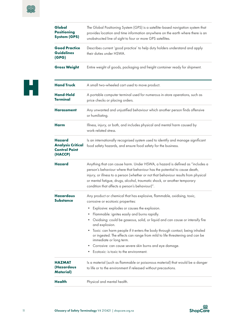<span id="page-10-0"></span>

| Global<br><b>Positioning</b><br><b>System (GPS)</b> | The Global Positioning System (GPS) is a satellite-based navigation system that<br>provides location and time information anywhere on the earth where there is an<br>unobstructed line of sight to four or more GPS satellites. |
|-----------------------------------------------------|---------------------------------------------------------------------------------------------------------------------------------------------------------------------------------------------------------------------------------|
| <b>Good Practice</b><br><b>Guidelines</b><br>(GPG)  | Describes current 'good practice' to help duty holders understand and apply<br>their duties under HSWA.                                                                                                                         |
| <b>Gross Weight</b>                                 | Entire weight of goods, packaging and freight container ready for shipment.                                                                                                                                                     |



| <b>Hand Truck</b>                                                                                                                                                                                                                | A small two-wheeled cart used to move product.                                                                                                                                                                                                                                                                                                                                 |
|----------------------------------------------------------------------------------------------------------------------------------------------------------------------------------------------------------------------------------|--------------------------------------------------------------------------------------------------------------------------------------------------------------------------------------------------------------------------------------------------------------------------------------------------------------------------------------------------------------------------------|
| <b>Hand-Held</b><br><b>Terminal</b>                                                                                                                                                                                              | A portable computer terminal used for numerous in-store operations, such as<br>price checks or placing orders.                                                                                                                                                                                                                                                                 |
| <b>Harassment</b>                                                                                                                                                                                                                | Any unwanted and unjustified behaviour which another person finds offensive<br>or humiliating.                                                                                                                                                                                                                                                                                 |
| Harm                                                                                                                                                                                                                             | Illness, injury, or both, and includes physical and mental harm caused by<br>work-related stress.                                                                                                                                                                                                                                                                              |
| <b>Hazard</b><br>Is an internationally recognised system used to identify and manage significant<br><b>Analysis Critical</b><br>food safety hazards, and ensure food safety for the business.<br><b>Control Point</b><br>(HACCP) |                                                                                                                                                                                                                                                                                                                                                                                |
| Hazard                                                                                                                                                                                                                           | Anything that can cause harm. Under HSWA, a hazard is defined as "includes a<br>person's behaviour where that behaviour has the potential to cause death,<br>injury, or illness to a person (whether or not that behaviour results from physical<br>or mental fatigue, drugs, alcohol, traumatic shock, or another temporary<br>condition that affects a person's behaviour)". |
| <b>Hazardous</b><br><b>Substance</b>                                                                                                                                                                                             | Any product or chemical that has explosive, flammable, oxidising, toxic,<br>corrosive or ecotoxic properties:                                                                                                                                                                                                                                                                  |
|                                                                                                                                                                                                                                  | Explosive: explodes or causes the explosion.<br>٠                                                                                                                                                                                                                                                                                                                              |
|                                                                                                                                                                                                                                  | Flammable: ignites easily and burns rapidly.<br>٠                                                                                                                                                                                                                                                                                                                              |
|                                                                                                                                                                                                                                  | Oxidising: could be gaseous, solid, or liquid and can cause or intensify fire<br>٠<br>and explosion.                                                                                                                                                                                                                                                                           |
|                                                                                                                                                                                                                                  | • Toxic: can harm people if it enters the body through contact, being inhaled<br>or ingested. The effects can range from mild to life threatening and can be<br>immediate or long term.                                                                                                                                                                                        |
|                                                                                                                                                                                                                                  | Corrosive: can cause severe skin burns and eye damage.                                                                                                                                                                                                                                                                                                                         |
|                                                                                                                                                                                                                                  | Ecotoxic: is toxic to the environment.                                                                                                                                                                                                                                                                                                                                         |
| <b>HAZMAT</b>                                                                                                                                                                                                                    | Is a material (such as flammable or poisonous material) that would be a danger                                                                                                                                                                                                                                                                                                 |
| (Hazardous<br><b>Material</b> )                                                                                                                                                                                                  | to life or to the environment if released without precautions.                                                                                                                                                                                                                                                                                                                 |
| <b>Health</b>                                                                                                                                                                                                                    | Physical and mental health.                                                                                                                                                                                                                                                                                                                                                    |

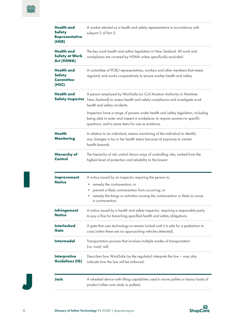<span id="page-11-0"></span>

| <b>Health and</b><br><b>Safety</b><br>Representative<br>(HSR)   | A worker elected as a health and safety representative in accordance with<br>subpart 2 of Part 3.                                                                                                                                                      |
|-----------------------------------------------------------------|--------------------------------------------------------------------------------------------------------------------------------------------------------------------------------------------------------------------------------------------------------|
| <b>Health and</b><br><b>Safety at Work</b><br>Act (HSWA)        | The key work health and safety legislation in New Zealand. All work and<br>workplaces are covered by HSWA unless specifically excluded.                                                                                                                |
| <b>Health and</b><br><b>Safety</b><br><b>Committee</b><br>(HSC) | A committee of PCBU representatives, workers and other members that meets<br>regularly and works cooperatively to ensure worker health and safety.                                                                                                     |
| <b>Health and</b><br><b>Safety Inspector</b>                    | A person employed by WorkSafe (or Civil Aviation Authority or Maritime<br>New Zealand) to assess health and safety compliance and investigate work<br>health and safety incidents.                                                                     |
|                                                                 | Inspectors have a range of powers under health and safety legislation, including<br>being able to enter and inspect a workplace, to require answers to specific<br>questions, and to seize items for use as evidence.                                  |
| <b>Health</b><br><b>Monitoring</b>                              | In relation to an individual, means monitoring of the individual to identify<br>any changes in his or her health status because of exposure to certain<br>health hazards.                                                                              |
| <b>Hierarchy of</b><br>Control                                  | The hierarchy of risk control shows ways of controlling risks, ranked from the<br>highest level of protection and reliability to the lowest.                                                                                                           |
| <b>Improvement</b><br><b>Notice</b>                             | A notice issued by an inspector requiring the person to:<br>remedy the contravention; or<br>٠<br>prevent a likely contravention from occurring; or<br>remedy the things or activities causing the contravention or likely to cause<br>a contravention. |
| <b>Infringement</b><br><b>Notice</b>                            | A notice issued by a health and safety inspector, requiring a responsible party<br>to pay a fine for breaching specified health and safety obligations.                                                                                                |
| <b>Interlocked</b><br>Gate                                      | A gate that uses technology to remain locked until it is safe for a pedestrian to<br>cross (when there are no approaching vehicles detected).                                                                                                          |
| <b>Intermodal</b>                                               | Transportation process that involves multiple modes of transportation<br>(i.e. road, rail).                                                                                                                                                            |
| <b>Interpretive</b><br><b>Guidelines (IG)</b>                   | Describes how WorkSafe (as the regulator) interprets the law - may also<br>indicate how the law will be enforced.                                                                                                                                      |
| <b>Jack</b>                                                     | A wheeled device with lifting capabilities used to move pallets or heavy loads of<br>product (often onto skids or pallets).                                                                                                                            |



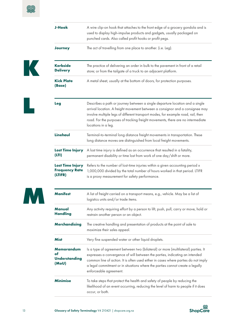<span id="page-12-0"></span>

| <b>J-Hook</b>                                               | A wire clip-on hook that attaches to the front edge of a grocery gondola and is<br>used to display high-impulse products and gadgets, usually packaged on<br>punched cards. Also called profit hooks or profit pegs.                                                                                                                                              |
|-------------------------------------------------------------|-------------------------------------------------------------------------------------------------------------------------------------------------------------------------------------------------------------------------------------------------------------------------------------------------------------------------------------------------------------------|
| <b>Journey</b>                                              | The act of travelling from one place to another. (i.e. Leg).                                                                                                                                                                                                                                                                                                      |
| <b>Kerbside</b><br><b>Delivery</b>                          | The practice of delivering an order in bulk to the pavement in front of a retail<br>store; or from the tailgate of a truck to an adjacent platform.                                                                                                                                                                                                               |
| <b>Kick Plate</b><br>(Base)                                 | A metal sheet, usually at the bottom of doors, for protection purposes.                                                                                                                                                                                                                                                                                           |
| <b>Leg</b>                                                  | Describes a path or journey between a single departure location and a single<br>arrival location. A freight movement between a consignor and a consignee may<br>involve multiple legs of different transport modes, for example road, rail, then<br>road. For the purposes of tracking freight movements, there are no intermediate<br>locations in a leg.        |
| Linehaul                                                    | Terminal-to-terminal long distance freight movements in transportation. These<br>long distance moves are distinguished from local freight movements.                                                                                                                                                                                                              |
| <b>Lost Time Injury</b><br>(LTI)                            | A lost time injury is defined as an occurrence that resulted in a fatality,<br>permanent disability or time lost from work of one day/shift or more.                                                                                                                                                                                                              |
| <b>Lost Time Injury</b><br><b>Frequency Rate</b><br>(LTIFR) | Refers to the number of lost-time injuries within a given accounting period x<br>1,000,000 divided by the total number of hours worked in that period. LTIFR<br>is a proxy measurement for safety performance.                                                                                                                                                    |
| <b>Manifest</b>                                             | A list of freight carried on a transport means, e.g., vehicle. May be a list of<br>logistics units and/or trade items.                                                                                                                                                                                                                                            |
| <b>Manual</b><br><b>Handling</b>                            | Any activity requiring effort by a person to lift, push, pull, carry or move, hold or<br>restrain another person or an object.                                                                                                                                                                                                                                    |
| <b>Merchandising</b>                                        | The creative handling and presentation of products at the point of sale to<br>maximize their sales appeal.                                                                                                                                                                                                                                                        |
| <b>Mist</b>                                                 | Very fine suspended water or other liquid droplets.                                                                                                                                                                                                                                                                                                               |
| Memorandum<br>of<br><b>Understanding</b><br>(MoU)           | Is a type of agreement between two (bilateral) or more (multilateral) parties. It<br>expresses a convergence of will between the parties, indicating an intended<br>common line of action. It is often used either in cases where parties do not imply<br>a legal commitment or in situations where the parties cannot create a legally<br>enforceable agreement. |
| <b>Minimise</b>                                             | To take steps that protect the health and safety of people by reducing the<br>likelihood of an event occurring, reducing the level of harm to people if it does                                                                                                                                                                                                   |

occur, or both.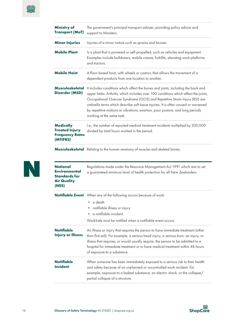**N**

<span id="page-13-0"></span>

| <b>Ministry of</b><br><b>Transport (MoT)</b>                                                   | The government's principal transport adviser, providing policy advice and<br>support to Ministers.                                                                                                                                                                                                                                                                                                                                                        |  |
|------------------------------------------------------------------------------------------------|-----------------------------------------------------------------------------------------------------------------------------------------------------------------------------------------------------------------------------------------------------------------------------------------------------------------------------------------------------------------------------------------------------------------------------------------------------------|--|
| <b>Minor Injuries</b>                                                                          | Injuries of a minor nature such as sprains and bruises.                                                                                                                                                                                                                                                                                                                                                                                                   |  |
| <b>Mobile Plant</b>                                                                            | Is a plant that is powered or self-propelled, such as vehicles and equipment.<br>Examples include bulldozers, mobile cranes, forklifts, elevating work platforms<br>and tractors.                                                                                                                                                                                                                                                                         |  |
| <b>Mobile Hoist</b>                                                                            | A floor-based hoist, with wheels or castors, that allows the movement of a<br>dependent products from one location to another.                                                                                                                                                                                                                                                                                                                            |  |
| Musculoskeletal<br><b>Disorder (MSD)</b>                                                       | It includes conditions which affect the bones and joints, including the back and<br>upper limbs. Arthritis, which includes over 100 conditions which affect the joints,<br>Occupational Overuse Syndrome (OOS) and Repetitive Strain Injury (RSI) are<br>umbrella terms which describe soft tissue injuries. It is often caused or worsened<br>by repetitive motions or vibrations, exertion, poor posture, and long periods<br>working at the same task. |  |
| <b>Medically</b><br><b>Treated Injury</b><br><b>Frequency Rates</b><br>(MTIFRS)                | I.e., the number of reported medical treatment incidents multiplied by 200,000<br>divided by total hours worked in the period.                                                                                                                                                                                                                                                                                                                            |  |
|                                                                                                | <b>Musculoskeletal</b> Relating to the human anatomy of muscles and skeletal bones.                                                                                                                                                                                                                                                                                                                                                                       |  |
| <b>National</b><br><b>Environmental</b><br><b>Standards for</b><br><b>Air Quality</b><br>(NES) | Regulations made under the Resource Management Act 1991 which aim to set<br>a guaranteed minimum level of health protection for all New Zealanders.                                                                                                                                                                                                                                                                                                       |  |
|                                                                                                | <b>Notifiable Event</b> When any of the following occurs because of work:<br>a death<br>$\bullet$<br>notifiable illness or injury<br>a notifiable incident.<br>WorkSafe must be notified when a notifiable event occurs.                                                                                                                                                                                                                                  |  |
| <b>Notifiable</b><br><b>Injury or Illness</b>                                                  | An illness or injury that requires the person to have immediate treatment (other<br>than first aid). For example, a serious head injury, a serious burn, an injury, or<br>illness that requires, or would usually require, the person to be admitted to a<br>hospital for immediate treatment or to have medical treatment within 48 hours<br>of exposure to a substance.                                                                                 |  |
| <b>Notifiable</b><br><b>Incident</b>                                                           | When someone has been immediately exposed to a serious risk to their health<br>and safety because of an unplanned or uncontrolled work incident. For<br>example, exposure to a leaked substance, an electric shock, or the collapse/<br>partial collapse of a structure.                                                                                                                                                                                  |  |

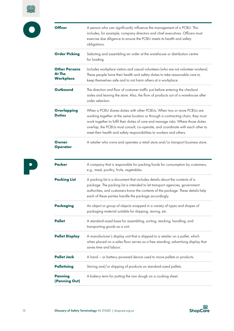<span id="page-14-0"></span>

| <b>Officer</b>                                            | A person who can significantly influence the management of a PCBU. This<br>includes, for example, company directors and chief executives. Officers must<br>exercise due diligence to ensure the PCBU meets its health and safety<br>obligations.                                                                                                                                                         |
|-----------------------------------------------------------|----------------------------------------------------------------------------------------------------------------------------------------------------------------------------------------------------------------------------------------------------------------------------------------------------------------------------------------------------------------------------------------------------------|
| <b>Order Picking</b>                                      | Selecting and assembling an order at the warehouse or distribution centre<br>for loading.                                                                                                                                                                                                                                                                                                                |
| <b>Other Persons</b><br><b>At The</b><br><b>Workplace</b> | Includes workplace visitors and casual volunteers (who are not volunteer workers).<br>These people have their health and safety duties to take reasonable care to<br>keep themselves safe and to not harm others at a workplace.                                                                                                                                                                         |
| Outbound                                                  | The direction and flow of customer traffic just before entering the checkout<br>aisles and leaving the store. Also, the flow of products out of a warehouse after<br>order selection.                                                                                                                                                                                                                    |
| <b>Overlapping</b><br><b>Duties</b>                       | When a PCBU shares duties with other PCBUs. When two or more PCBUs are<br>working together at the same location or through a contracting chain, they must<br>work together to fulfil their duties of care and manage risks. Where those duties<br>overlap, the PCBUs must consult, co-operate, and coordinate with each other to<br>meet their health and safety responsibilities to workers and others. |
| <b>Owner</b><br><b>Operator</b>                           | A retailer who owns and operates a retail store and/or transport business store.                                                                                                                                                                                                                                                                                                                         |
| <b>Packer</b>                                             | A company that is responsible for packing foods for consumption by customers,<br>e.g., meat, poultry, fruits, vegetables.                                                                                                                                                                                                                                                                                |
| <b>Packing List</b>                                       | A packing list is a document that includes details about the contents of a<br>package. The packing list is intended to let transport agencies, government<br>authorities, and customers know the contents of the package. These details help<br>each of these parties handle the package accordingly.                                                                                                    |
| <b>Packaging</b>                                          | An object or group of objects wrapped in a variety of types and shapes of<br>packaging material suitable for shipping, storing, etc.                                                                                                                                                                                                                                                                     |
| <b>Pallet</b>                                             | A standard-sized base for assembling, sorting, stacking, handling, and<br>transporting goods as a unit.                                                                                                                                                                                                                                                                                                  |
| <b>Pallet Display</b>                                     | A manufacturer's display unit that is shipped to a retailer on a pallet, which<br>when placed on a sales floor serves as a free-standing, advertising display that<br>saves time and labour.                                                                                                                                                                                                             |
| <b>Pallet Jack</b>                                        | A hand - or battery-powered device used to move pallets or products.                                                                                                                                                                                                                                                                                                                                     |
| <b>Palletising</b>                                        | Storing and/or shipping of products on standard-sized pallets.                                                                                                                                                                                                                                                                                                                                           |
| <b>Panning</b><br>(Panning Out)                           | A bakery term for putting the raw dough on a cooking sheet.                                                                                                                                                                                                                                                                                                                                              |
|                                                           |                                                                                                                                                                                                                                                                                                                                                                                                          |



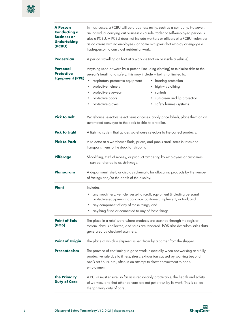| <b>A Person</b><br><b>Conducting a</b><br><b>Business or</b><br><b>Undertaking</b><br>(PCBU) | In most cases, a PCBU will be a business entity, such as a company. However,<br>an individual carrying out business as a sole trader or self-employed person is<br>also a PCBU. A PCBU does not include workers or officers of a PCBU, volunteer<br>associations with no employees, or home occupiers that employ or engage a<br>tradesperson to carry out residential work.                                                     |  |
|----------------------------------------------------------------------------------------------|----------------------------------------------------------------------------------------------------------------------------------------------------------------------------------------------------------------------------------------------------------------------------------------------------------------------------------------------------------------------------------------------------------------------------------|--|
| <b>Pedestrian</b>                                                                            | A person travelling on foot at a worksite (not on or inside a vehicle).                                                                                                                                                                                                                                                                                                                                                          |  |
| Personal<br><b>Protective</b><br><b>Equipment (PPE)</b>                                      | Anything used or worn by a person (including clothing) to minimise risks to the<br>person's health and safety. This may include - but is not limited to:<br>respiratory protective equipment<br>hearing protection<br>٠<br>protective helmets<br>high-vis clothing<br>٠<br>٠<br>sunhats<br>protective eyewear<br>protective boots<br>sunscreen and lip protection<br>٠<br>protective gloves<br>safety harness systems.<br>٠<br>٠ |  |
| <b>Pick to Belt</b>                                                                          | Warehouse selectors select items or cases, apply price labels, place them on an<br>automated conveyor to the dock to ship to a retailer.                                                                                                                                                                                                                                                                                         |  |
| <b>Pick to Light</b>                                                                         | A lighting system that guides warehouse selectors to the correct products.                                                                                                                                                                                                                                                                                                                                                       |  |
| <b>Pick to Pack</b>                                                                          | A selector at a warehouse finds, prices, and packs small items in totes and<br>transports them to the dock for shipping.                                                                                                                                                                                                                                                                                                         |  |
| <b>Pilferage</b>                                                                             | Shoplifting, theft of money, or product tampering by employees or customers<br>- can be referred to as shrinkage.                                                                                                                                                                                                                                                                                                                |  |
| Planogram                                                                                    | A department, shelf, or display schematic for allocating products by the number<br>of facings and/or the depth of the display.                                                                                                                                                                                                                                                                                                   |  |
| <b>Plant</b>                                                                                 | Includes:<br>any machinery, vehicle, vessel, aircraft, equipment (including personal<br>protective equipment), appliance, container, implement, or tool; and<br>any component of any of those things, and<br>anything fitted or connected to any of those things.                                                                                                                                                                |  |
| <b>Point of Sale</b><br>(POS)                                                                | The place in a retail store where products are scanned through the register<br>system, data is collected, and sales are tendered. POS also describes sales data<br>generated by checkout scanners.                                                                                                                                                                                                                               |  |
| <b>Point of Origin</b>                                                                       | The place at which a shipment is sent from by a carrier from the shipper.                                                                                                                                                                                                                                                                                                                                                        |  |
| <b>Presenteeism</b>                                                                          | The practice of continuing to go to work, especially when not working at a fully<br>productive rate due to illness, stress, exhaustion caused by working beyond<br>one's set hours, etc., often in an attempt to show commitment to one's<br>employment.                                                                                                                                                                         |  |
| <b>The Primary</b><br><b>Duty of Care</b>                                                    | A PCBU must ensure, so far as is reasonably practicable, the health and safety<br>of workers, and that other persons are not put at risk by its work. This is called<br>the 'primary duty of care'.                                                                                                                                                                                                                              |  |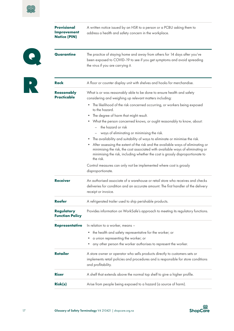<span id="page-16-0"></span>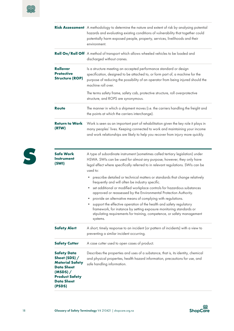<span id="page-17-0"></span>

|                                                                | Risk Assessment A methodology to determine the nature and extent of risk by analysing potential<br>hazards and evaluating existing conditions of vulnerability that together could<br>potentially harm exposed people, property, services, livelihoods and their<br>environment. |
|----------------------------------------------------------------|----------------------------------------------------------------------------------------------------------------------------------------------------------------------------------------------------------------------------------------------------------------------------------|
|                                                                | <b>Roll On/Roll Off</b> A method of transport which allows wheeled vehicles to be loaded and<br>discharged without cranes.                                                                                                                                                       |
| <b>Rollover</b><br><b>Protective</b><br><b>Structure (ROP)</b> | Is a structure meeting an accepted performance standard or design<br>specification, designed to be attached to, or form part of, a machine for the<br>purpose of reducing the possibility of an operator from being injured should the<br>machine roll over.                     |
|                                                                | The terms safety frame, safety cab, protective structure, roll overprotective<br>structure, and ROPS are synonymous.                                                                                                                                                             |
| <b>Route</b>                                                   | The manner in which a shipment moves (i.e. the carriers handling the freight and<br>the points at which the carriers interchange).                                                                                                                                               |
| <b>Return to Work</b><br>(RTW)                                 | Work is seen as an important part of rehabilitation given the key role it plays in<br>many peoples' lives. Keeping connected to work and maintaining your income<br>and work relationships are likely to help you recover from injury more quickly.                              |



| <b>Safe Work</b><br><b>Instrument</b><br>(SWI)                                                                                                           | A type of subordinate instrument (sometimes called tertiary legislation) under<br>HSWA. SWIs can be used for almost any purpose, however, they only have<br>legal effect where specifically referred to in relevant regulations. SWIs can be<br>used to:                                                                                                                    |
|----------------------------------------------------------------------------------------------------------------------------------------------------------|-----------------------------------------------------------------------------------------------------------------------------------------------------------------------------------------------------------------------------------------------------------------------------------------------------------------------------------------------------------------------------|
|                                                                                                                                                          | prescribe detailed or technical matters or standards that change relatively<br>$\bullet$<br>frequently and will often be industry specific.<br>set additional or modified workplace controls for hazardous substances<br>$\bullet$<br>approved or reassessed by the Environmental Protection Authority.<br>provide an alternative means of complying with regulations.<br>٠ |
|                                                                                                                                                          | support the effective operation of the health and safety regulatory<br>framework, for instance by setting exposure monitoring standards or<br>stipulating requirements for training, competence, or safety management<br>systems.                                                                                                                                           |
| <b>Safety Alert</b>                                                                                                                                      | A short, timely response to an incident (or pattern of incidents) with a view to<br>preventing a similar incident occurring.                                                                                                                                                                                                                                                |
| <b>Safety Cutter</b>                                                                                                                                     | A case cutter used to open cases of product.                                                                                                                                                                                                                                                                                                                                |
| <b>Safety Data</b><br>Sheet (SDS) /<br><b>Material Safety</b><br><b>Data Sheet</b><br>$(MSDS)$ /<br><b>Product Safety</b><br><b>Data Sheet</b><br>(PSDS) | Describes the properties and uses of a substance, that is, its identity, chemical<br>and physical properties, health hazard information, precautions for use, and<br>safe handling information.                                                                                                                                                                             |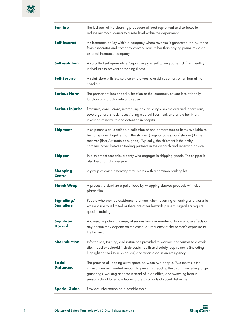| <b>Sanitise</b>                     | The last part of the cleaning procedure of food equipment and surfaces to<br>reduce microbial counts to a safe level within the department.                                                                                                                                                                                    |
|-------------------------------------|--------------------------------------------------------------------------------------------------------------------------------------------------------------------------------------------------------------------------------------------------------------------------------------------------------------------------------|
| Self-insured                        | An insurance policy within a company where revenue is generated for insurance<br>from associates and company contributions rather than paying premiums to an<br>external insurance company.                                                                                                                                    |
| <b>Self-isolation</b>               | Also called self-quarantine. Separating yourself when you're sick from healthy<br>individuals to prevent spreading illness.                                                                                                                                                                                                    |
| <b>Self Service</b>                 | A retail store with few service employees to assist customers other than at the<br>checkout.                                                                                                                                                                                                                                   |
| <b>Serious Harm</b>                 | The permanent loss of bodily function or the temporary severe loss of bodily<br>function or musculoskeletal disease.                                                                                                                                                                                                           |
| <b>Serious Injuries</b>             | Fractures, concussions, internal injuries, crushings, severe cuts and lacerations,<br>severe general shock necessitating medical treatment, and any other injury<br>involving removal to and detention in hospital.                                                                                                            |
| <b>Shipment</b>                     | A shipment is an identifiable collection of one or more traded items available to<br>be transported together from the shipper (original consignor/shipper) to the<br>receiver (final/ultimate consignee). Typically, the shipment is the entity<br>communicated between trading partners in the dispatch and receiving advice. |
| <b>Shipper</b>                      | In a shipment scenario, a party who engages in shipping goods. The shipper is<br>also the original consignor.                                                                                                                                                                                                                  |
| <b>Shopping</b><br>Centre           | A group of complementary retail stores with a common parking lot.                                                                                                                                                                                                                                                              |
| <b>Shrink Wrap</b>                  | A process to stabilize a pallet load by wrapping stacked products with clear<br>plastic film.                                                                                                                                                                                                                                  |
| Signalling/<br><b>Signallers</b>    | People who provide assistance to drivers when reversing or turning at a worksite<br>where visibility is limited or there are other hazards present. Signallers require<br>specific training.                                                                                                                                   |
| <b>Significant</b><br><b>Hazard</b> | A cause, or potential cause, of serious harm or non-trivial harm whose effects on<br>any person may depend on the extent or frequency of the person's exposure to<br>the hazard.                                                                                                                                               |
| <b>Site Induction</b>               | Information, training, and instruction provided to workers and visitors to a work<br>site. Inductions should include basic health and safety requirements (including<br>highlighting the key risks on site) and what to do in an emergency.                                                                                    |
| <b>Social</b><br><b>Distancing</b>  | The practice of keeping extra space between two people. Two metres is the<br>minimum recommended amount to prevent spreading the virus. Cancelling large<br>gatherings, working at home instead of in an office, and switching from in-<br>person school to remote learning are also parts of social distancing.               |
| <b>Special Guide</b>                | Provides information on a notable topic.                                                                                                                                                                                                                                                                                       |

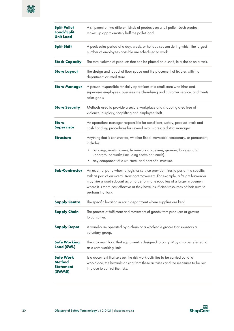| <b>Split Pallet</b><br>Load/Split<br><b>Unit Load</b> | A shipment of two different kinds of products on a full pallet. Each product<br>makes up approximately half the pallet load.                                                                                                                                                                                                                                  |
|-------------------------------------------------------|---------------------------------------------------------------------------------------------------------------------------------------------------------------------------------------------------------------------------------------------------------------------------------------------------------------------------------------------------------------|
| <b>Split Shift</b>                                    | A peak sales period of a day, week, or holiday season during which the largest<br>number of employees possible are scheduled to work.                                                                                                                                                                                                                         |
| <b>Stock Capacity</b>                                 | The total volume of products that can be placed on a shelf, in a slot or on a rack.                                                                                                                                                                                                                                                                           |
| <b>Store Layout</b>                                   | The design and layout of floor space and the placement of fixtures within a<br>department or retail store.                                                                                                                                                                                                                                                    |
| <b>Store Manager</b>                                  | A person responsible for daily operations of a retail store who hires and<br>supervises employees, oversees merchandising and customer service, and meets<br>sales goals.                                                                                                                                                                                     |
| <b>Store Security</b>                                 | Methods used to provide a secure workplace and shopping area free of<br>violence, burglary, shoplifting and employee theft.                                                                                                                                                                                                                                   |
| <b>Store</b><br><b>Supervisor</b>                     | An operations manager responsible for conditions, safety, product levels and<br>cash handling procedures for several retail stores; a district manager.                                                                                                                                                                                                       |
| <b>Structure</b>                                      | Anything that is constructed, whether fixed, moveable, temporary, or permanent;<br>includes:<br>buildings, masts, towers, frameworks, pipelines, quarries, bridges, and<br>٠<br>underground works (including shafts or tunnels).<br>any component of a structure, and part of a structure.<br>٠                                                               |
| <b>Sub-Contractor</b>                                 | An external party whom a logistics service provider hires to perform a specific<br>task as part of an overall transport movement. For example, a freight forwarder<br>may hire a road subcontractor to perform one road leg of a larger movement<br>where it is more cost effective or they have insufficient resources of their own to<br>perform that task. |
| <b>Supply Centre</b>                                  | The specific location in each department where supplies are kept.                                                                                                                                                                                                                                                                                             |
| <b>Supply Chain</b>                                   | The process of fulfilment and movement of goods from producer or grower<br>to consumer.                                                                                                                                                                                                                                                                       |
| <b>Supply Depot</b>                                   | A warehouse operated by a chain or a wholesale grocer that sponsors a<br>voluntary group.                                                                                                                                                                                                                                                                     |
| <b>Safe Working</b><br>Load (SWL)                     | The maximum load that equipment is designed to carry. May also be referred to<br>as a safe working limit.                                                                                                                                                                                                                                                     |
| <b>Safe Work</b><br>Method<br>Statement<br>(SWMS)     | Is a document that sets out the risk work activities to be carried out at a<br>workplace, the hazards arising from these activities and the measures to be put<br>in place to control the risks.                                                                                                                                                              |

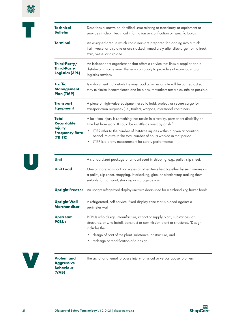<span id="page-20-0"></span>

| <b>Technical</b><br><b>Bulletin</b>                                      | Describes a known or identified issue relating to machinery or equipment or<br>provides in-depth technical information or clarification on specific topics.                                                                                                                                                                                                                                   |
|--------------------------------------------------------------------------|-----------------------------------------------------------------------------------------------------------------------------------------------------------------------------------------------------------------------------------------------------------------------------------------------------------------------------------------------------------------------------------------------|
| <b>Terminal</b>                                                          | An assigned area in which containers are prepared for loading into a truck,<br>train, vessel or airplane or are stacked immediately after discharge from a truck,<br>train, vessel or airplane.                                                                                                                                                                                               |
| Third-Party/<br><b>Third-Party</b><br><b>Logistics (3PL)</b>             | An independent organization that offers a service that links a supplier and a<br>distributor in some way. The term can apply to providers of warehousing or<br>logistics services.                                                                                                                                                                                                            |
| <b>Traffic</b><br><b>Management</b><br>Plan (TMP)                        | Is a document that details the way road activities on site will be carried out so<br>they minimise inconvenience and help ensure workers remain as safe as possible.                                                                                                                                                                                                                          |
| <b>Transport</b><br><b>Equipment</b>                                     | A piece of high-value equipment used to hold, protect, or secure cargo for<br>transportation purposes (i.e., trailers, wagons, intermodal containers.                                                                                                                                                                                                                                         |
| Total<br>Recordable<br><b>Injury</b><br><b>Frequency Rate</b><br>(TRIFR) | A lost-time injury is something that results in a fatality, permanent disability or<br>time lost from work. It could be as little as one day or shift.<br>LTIFR refer to the number of lost-time injuries within a given accounting<br>$\bullet$<br>period, relative to the total number of hours worked in that period.<br>LTIFR is a proxy measurement for safety performance.<br>$\bullet$ |
| <b>Unit</b>                                                              | A standardized package or amount used in shipping, e.g., pallet, slip sheet.                                                                                                                                                                                                                                                                                                                  |
| <b>Unit Load</b>                                                         | One or more transport packages or other items held together by such means as<br>a pallet, slip sheet, strapping, interlocking, glue, or plastic wrap making them<br>suitable for transport, stacking or storage as a unit.                                                                                                                                                                    |
| <b>Upright Freezer</b>                                                   | An upright refrigerated display unit with doors used for merchandising frozen foods.                                                                                                                                                                                                                                                                                                          |
| <b>Upright Wall</b><br><b>Merchandiser</b>                               | A refrigerated, self-service, fixed display case that is placed against a<br>perimeter wall.                                                                                                                                                                                                                                                                                                  |
| <b>Upstream</b><br><b>PCBUs</b>                                          | PCBUs who design, manufacture, import or supply plant, substances, or<br>structures, or who install, construct or commission plant or structures. 'Design'<br>includes the:                                                                                                                                                                                                                   |
|                                                                          | design of part of the plant, substance, or structure, and<br>redesign or modification of a design.                                                                                                                                                                                                                                                                                            |



**U**

**Violent and Aggressive Behaviour (VAB)** 

The act of or attempt to cause injury, physical or verbal abuse to others.

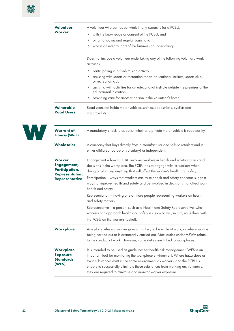<span id="page-21-0"></span>

| <b>Volunteer</b><br>Worker                                                                                      | A volunteer who carries out work in any capacity for a PCBU:<br>with the knowledge or consent of the PCBU, and<br>٠<br>on an ongoing and regular basis, and<br>٠<br>who is an integral part of the business or undertaking.<br>٠<br>Does not include a volunteer undertaking any of the following voluntary work<br>activities:<br>participating in a fund-raising activity.<br>assisting with sports or recreation for an educational institute, sports club,<br>or recreation club.<br>assisting with activities for an educational institute outside the premises of the<br>٠<br>educational institution.<br>providing care for another person in the volunteer's home.                                                                |
|-----------------------------------------------------------------------------------------------------------------|-------------------------------------------------------------------------------------------------------------------------------------------------------------------------------------------------------------------------------------------------------------------------------------------------------------------------------------------------------------------------------------------------------------------------------------------------------------------------------------------------------------------------------------------------------------------------------------------------------------------------------------------------------------------------------------------------------------------------------------------|
| Vulnerable<br><b>Road Users</b>                                                                                 | Road users not inside motor vehicles such as pedestrians, cyclists and<br>motorcyclists.                                                                                                                                                                                                                                                                                                                                                                                                                                                                                                                                                                                                                                                  |
| <b>Warrant of</b><br><b>Fitness (WoF)</b>                                                                       | A mandatory check to establish whether a private motor vehicle is roadworthy.                                                                                                                                                                                                                                                                                                                                                                                                                                                                                                                                                                                                                                                             |
| Wholesaler                                                                                                      | A company that buys directly from a manufacturer and sells to retailers and is<br>either affiliated (co-op or voluntary) or independent.                                                                                                                                                                                                                                                                                                                                                                                                                                                                                                                                                                                                  |
| <b>Worker</b><br><b>Engagement,</b><br><b>Participation,</b><br><b>Representation,</b><br><b>Representative</b> | Engagement - how a PCBU involves workers in health and safety matters and<br>decisions in the workplace. The PCBU has to engage with its workers when<br>doing or planning anything that will affect the worker's health and safety.<br>Participation - ways that workers can raise health and safety concerns suggest<br>ways to improve health and safety and be involved in decisions that affect work<br>health and safety.<br>Representation - having one or more people representing workers on health<br>and safety matters.<br>Representative - a person, such as a Health and Safety Representative, who<br>workers can approach health and safety issues who will, in turn, raise them with<br>the PCBU on the workers' behalf. |
| <b>Workplace</b>                                                                                                | Any place where a worker goes or is likely to be while at work, or where work is<br>being carried out or is customarily carried out. Most duties under HSWA relate<br>to the conduct of work. However, some duties are linked to workplaces.                                                                                                                                                                                                                                                                                                                                                                                                                                                                                              |
| <b>Workplace</b><br><b>Exposure</b><br><b>Standards</b><br>(WES)                                                | It is intended to be used as guidelines for health risk management. WES is an<br>important tool for monitoring the workplace environment. Where hazardous or<br>toxic substances exist in the same environment as workers, and the PCBU is<br>unable to successfully eliminate these substances from working environments,<br>they are required to minimise and monitor worker exposure.                                                                                                                                                                                                                                                                                                                                                  |



| <b>Q</b>      |
|---------------|
| <b>ShopCo</b> |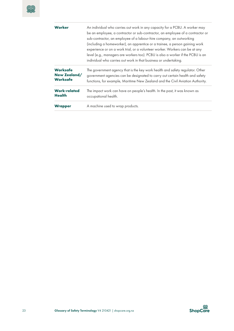### $@@$

| Worker              | An individual who carries out work in any capacity for a PCBU. A worker may<br>be an employee, a contractor or sub-contractor, an employee of a contractor or<br>sub-contractor, an employee of a labour-hire company, an outworking<br>(including a homeworker), an apprentice or a trainee, a person gaining work<br>experience or on a work trial, or a volunteer worker. Workers can be at any<br>level (e.g., managers are workers too). PCBU is also a worker if the PCBU is an<br>individual who carries out work in that business or undertaking. |
|---------------------|-----------------------------------------------------------------------------------------------------------------------------------------------------------------------------------------------------------------------------------------------------------------------------------------------------------------------------------------------------------------------------------------------------------------------------------------------------------------------------------------------------------------------------------------------------------|
| <b>Worksafe</b>     | The government agency that is the key work health and safety regulator. Other                                                                                                                                                                                                                                                                                                                                                                                                                                                                             |
| New Zealand/        | government agencies can be designated to carry out certain health and safety                                                                                                                                                                                                                                                                                                                                                                                                                                                                              |
| <b>Worksafe</b>     | functions, for example, Maritime New Zealand and the Civil Aviation Authority.                                                                                                                                                                                                                                                                                                                                                                                                                                                                            |
| <b>Work-related</b> | The impact work can have on people's health. In the past, it was known as                                                                                                                                                                                                                                                                                                                                                                                                                                                                                 |
| <b>Health</b>       | occupational health.                                                                                                                                                                                                                                                                                                                                                                                                                                                                                                                                      |
| <b>Wrapper</b>      | A machine used to wrap products.                                                                                                                                                                                                                                                                                                                                                                                                                                                                                                                          |